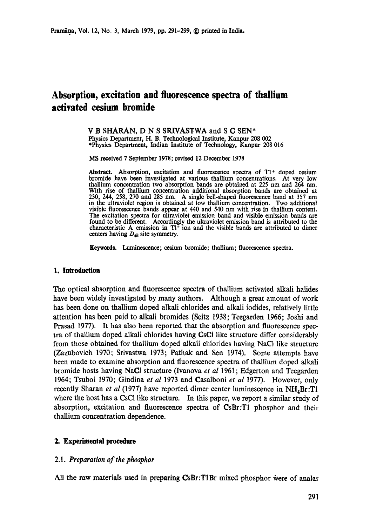# **Absorption, excitation and fluorescence spectra of thallium activated cesium bromide**

V B SHARAN, D N S SRIVASTWA and S C SEN\* Physics Department, H. B. Technological Institute, Kanpur 208 002 \*Physics Department, Indian Institute of Technology, Kanpur 208 016

MS received 7 September 1978; revised 12 December 1978

Abstract. Absorption, excitation and fluorescence spectra of  $T1<sup>+</sup>$  doped cesium bromide have been investigated at various thallium concentrations. At very low thallium concentration two absorption bands are obtained at 225 nm and 264 nm. With rise of thallium concentration additional absorption bands are obtained at 230, 244, 258, 270 and 285 nm. A single bell-shaped fluorescence band at 357 nm in the ultraviolet region is obtained at low thallium concentration. Two additional visible fluorescence bands appear at 440 and 540 nm with rise in thallium content. The excitation spectra for ultraviolet emission band and visible emission bands are found to be different. Accordingly the ultraviolet emission band is attributed to the characteristic A emission in  $T1^+$  ion and the visible bands are attributed to dimer centers having  $D_{4h}$  site symmetry.

Keywords. Luminescence; cesium bromide; thallium; fluorescence spectra.

#### **1. Introduction**

The optical absorption and fluorescence spectra of thallium activated alkali halides have been widely investigated by many authors. Although a great amount of work has been done on thallium doped alkali chlorides and alkali iodides, relatively little attention has been paid to alkali bromides (Seitz 1938; Teegarden 1966; Joshi and Prasad 1977). It has also been reported that the absorption and fluorescence spectra of thallium doped alkali chlorides having CsCl like structure differ considerably from those obtained for thallium doped alkali chlorides having NaCI like structure (Zazubovich 1970; Srivastwa 1973; Pathak and Sen 1974). Some attempts have been made to examine absorption and fluorescence spectra of thallium doped alkali bromide hosts having NaCI structure (Ivanova *et al* 1961 ; Edgerton and Teegarden 1964; Tsuboi 1970; Gindina *et al* 1973 and Casalboni *et al* 1977). However, only recently Sharan *et al* (1977) have reported dimer center luminescence in NH<sub>4</sub>Br:T1 where the host has a CsCI like structure. In this paper, we report a similar study of absorption, excitation and fluorescence spectra of CsBr:T1 phosphor and their thallium concentration dependence.

## **2. Experimental procedure**

### 2.1. *Preparation of the phosphor*

All the raw materials used in preparing CsBr:T1Br mixed phosphor were of analar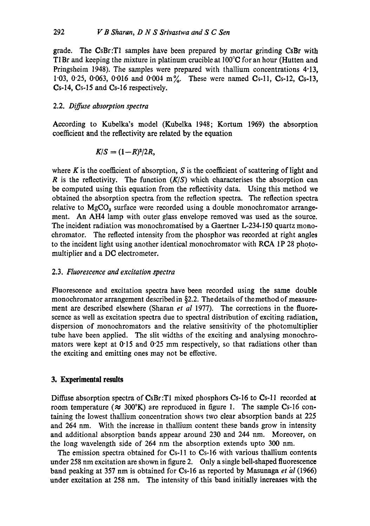grade. The CsBr:T1 samples have been prepared by mortar grinding CsBr with T1Br and keeping the mixture in platinum crucible at  $100^{\circ}$ C for an hour (Hutten and Pringsheim 1948). The samples were prepared with thallium concentrations 4.13, 1.03, 0.25, 0.063, 0.016 and 0.004 m%. These were named  $C_{3-11}$ ,  $C_{5-12}$ ,  $C_{5-13}$ , Cs-14, Cs-15 and Cs-16 respectively.

# 2.2. *Diffuse absorption spectra*

According to Kubelka's model (Kubelka 1948; Kortum 1969) the absorption coefficient and the reflectivity are related by the equation

$$
K/S=(1-R)^2/2R,
$$

where K is the coefficient of absorption, S is the coefficient of scattering of light and  $R$  is the reflectivity. The function  $(K/S)$  which characterises the absorption can be computed using this equation from the reflectivity data. Using this method we obtained the absorption spectra from the reflection spectra. The reflection spectra relative to  $MgCO<sub>3</sub>$  surface were recorded using a double monochromator arrangement. An AH4 lamp with outer glass envelope removed was used as the source. The incident radiation was monochromatised by a Gaertner L-234-150 quartz monochromator. The reflected intensity from the phosphor was recorded at right angles to the incident light using another identical monochromator with RCA 1P 28 photomultiplier and a DC electrometer.

## 2.3. *Fluorescence and excitation spectra*

Fluorescence and excitation spectra have been recorded using the same double monochromator arrangement described in  $\S$ 2.2. The details of the method of measurement are described elsewhere (Sharan *et al* 1977). The corrections in the fluorescence as well as excitation spectra due to spectral distribution of exciting radiation, dispersion of monoehromators and the relative sensitivity of the photomultiplier tube have been applied. The slit widths of the exciting and analysing monochromators were kept at  $0.15$  and  $0.25$  mm respectively, so that radiations other than the exciting and emitting ones may not be effective.

## **3. Experimental results**

Diffuse absorption spectra of CsBr:TI mixed phosphors Cs-16 to Cs-11 recorded at room temperature ( $\approx 300^{\circ}$ K) are reproduced in figure 1. The sample Cs-16 containing the lowest thallium concentration shows two clear absorption bands at 225 and 264 nm. With the increase in thallium content these bands grow in intensity and additional absorption bands appear around 230 and 244 nm. Moreover, on the long wavelength side of 264 nm the absorption extends upto 300 nm.

The emission spectra obtained for Cs-11 to Cs-16 with various thallium contents under 258 nm excitation are shown in figure 2. Only a single bell-shaped fluorescence band peaking at 357 nm is obtained for Cs-16 as reported by Masunaga *et hl* (1966) under excitation at 258 nm, The intensity of this band initially increases with the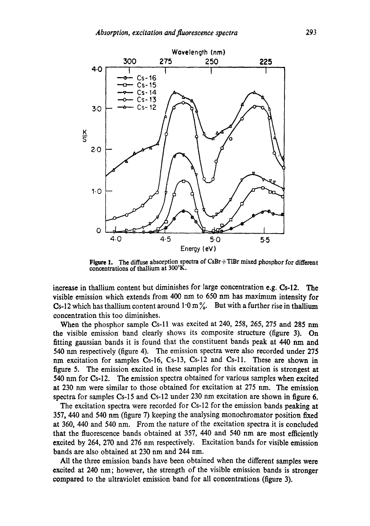

Figure 1. The diffuse absorption spectra of CsBr+T1Br mixed phosphor for different concentrations of thallium at 300°K.

increase in thallium content but diminishes for large concentration e.g. Cs-12. The visible emission which extends from 400 nm to 650 nm has maximum intensity for Cs-12 which has thallium content around  $1.0 \text{ m}\%$ . But with a further rise in thallium concentration this too diminishes.

When the phosphor sample Cs-ll was excited at 240, 258, 265, 275 and 285 nm the visible emission band clearly shows its composite structure (figure 3). On fitting gaussian bands it is found that the constituent bands peak at 440 nm and 540 nm respectively (figure 4). The emission spectra were also recorded under 275 nm excitation for samples Cs-16, Cs-13, Cs-12 and Cs-ll. These are shown in figure 5. The emission excited in these samples for this excitation is strongest at 540 nm for Cs-12. The emission spectra obtained for various samples when excited at 230 nm were similar to those obtained for excitation at 275 nm. The emission spectra for samples  $Cs-15$  and  $Cs-12$  under 230 nm excitation are shown in figure 6.

The excitation spectra were recorded for Cs-12 for the emission bands peaking at 357, 440 and 540 nm (figure 7) keeping the analysing monochromator position fixed at 360, 440 and 540 nm. From the nature of the excitation spectra it is concluded that the fluorescence bands obtained at  $357$ , 440 and 540 nm are most efficiently excited by 264, 270 and 276 nm respectively. Excitation bands for visible emission bands are also obtained at 230 nm and 244 nm.

All the three emission bands have been obtained when the different samples were excited at 240 nm; however, the strength of the visible emission bands is stronger compared to the ultraviolet emission band for all concentrations (figure 3).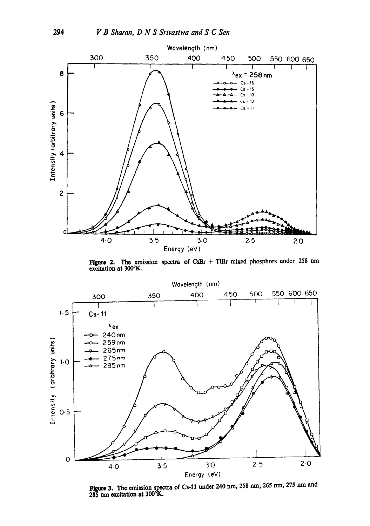

Figure 2. The emission spectra of CsBr + TlBr mixed phosphors under 258 nm excitation at  $300^{\circ}$ K.



Figure 3. The emission spectra of Cs-11 under 240 nm, 258 nm, 265 nm, 275 nm and 285 nm excitation at 300°K.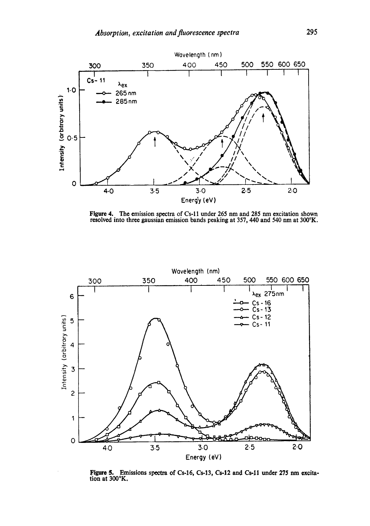

Figure 4. The emission spectra of Cs-I 1 under 265 nm and 285 nm excitation shown resolved into three gaussian emission bands peaking at 357, 440 and 540 nm at 300°K.



Figure 5. Emissions spectra of Cs-16, Cs-13, Cs-12 and Cs-ll under 275 nm excitation at 300°K.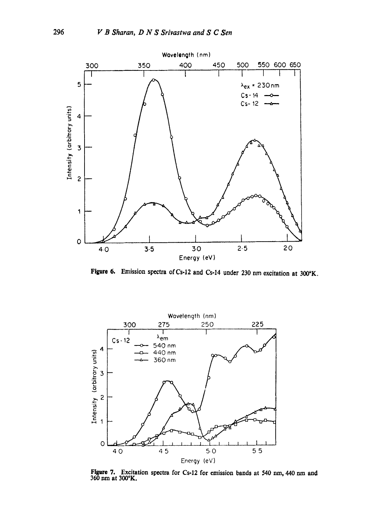

Figure 6. Emission spectra of Cs-12 and Cs-14 under 230 nm excitation at 300°K.



Figure 7. Excitation spectra for Cs-12 for emission bands at 540 nm, 440 nm and 360 nm at 300°K.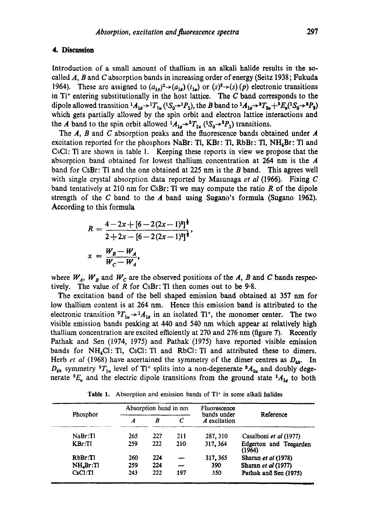#### **4. Discussion**

Introduction of a small amount of thallium in an alkali halide results in the socalled  $A$ ,  $B$  and  $C$  absorption bands in increasing order of energy (Seitz 1938; Fukuda 1964). These are assigned to  $(a_{1g})^2 \rightarrow (a_{1g}) (t_{1g})$  or  $(s)^2 \rightarrow (s) (p)$  electronic transitions in  $T1$ <sup>+</sup> entering substitutionally in the host lattice. The C band corresponds to the dipole allowed transition  ${}^1A_{1g} \rightarrow {}^1T_{1g} ({}^1S_0 \rightarrow {}^1P_1)$ , the B band to  ${}^1A_{1g} \rightarrow {}^3T_{2g} + {}^3E_g ({}^1S_0 \rightarrow {}^3P_2)$ which gets partially allowed by the spin orbit and electron lattice interactions and the A band to the spin orbit allowed  $^{1}A_{1g} \rightarrow ^{3}T_{1u}$  ( $^{1}S_{0} \rightarrow ^{3}P_{1}$ ) transitions.

The  $A$ ,  $B$  and  $C$  absorption peaks and the fluorescence bands obtained under  $A$ excitation reported for the phosphors NaBr: Tl,  $KBr:$  Tl,  $RbBr:$  Tl,  $NH<sub>4</sub>Br:$  Tl and CsCI: TI are shown in table 1. Keeping these reports in view we propose that the absorption band obtained for lowest thallium concentration at 264 nm is the A band for CsBr: The and the one obtained at 225 nm is the B band. This agrees well with single crystal absorption data reported by Masunaga *et al* (1966). Fixing C band tentatively at 210 nm for CsBr: Tl we may compute the ratio  $R$  of the dipole strength of the C band to the  $\boldsymbol{A}$  band using Sugano's formula (Sugano 1962). According to this formula

$$
R = \frac{4 - 2x + [6 - 2(2x - 1)^{2}]^{\frac{1}{2}}}{2 + 2x - [6 - 2(2x - 1)^{2}]^{\frac{1}{2}}},
$$
  

$$
x = \frac{W_{B} - W_{A}}{W_{C} - W_{A}},
$$

where  $W_A$ ,  $W_B$  and  $W_C$  are the observed positions of the A, B and C bands respectively. The value of  $R$  for CsBr: Tl then comes out to be 9.8.

The excitation band of the bell shaped emission band obtained at 357 nm for low thallium content is at 264 am. Hence this emission band is attributed to the electronic transition  ${}^{3}T_{1u} \rightarrow {}^{1}A_{1g}$  in an isolated T<sub>i</sub><sup>+</sup>, the monomer center. The two visible emission bands peaking at 440 and 540 nm which appear at relatively high thallium concentration are excited efficiently at 270 and 276 nm (figure 7). Recently Pathak and Sen (1974, 1975) and Pathak (1975) have reported visible emission bands for  $NH<sub>4</sub>Cl$ : Tl, CsCl: Tl and RbCl: Tl and attributed these to dimers. Herb *et al* (1968) have ascertained the symmetry of the dimer centres as  $D_{4h}$ . In  $D_{4h}$  symmetry  ${}^{3}T_{1u}$  level of T<sup>+</sup> splits into a non-degenerate  ${}^{3}A_{2u}$  and doubly degenerate  ${}^3E_u$  and the electric dipole transitions from the ground state  ${}^1A_{1g}$  to both

Table 1. Absorption and emission bands of  $T<sup>1+</sup>$  in some alkali halides

| Phosphor     | Absorption band in nm |     |            | Fluorescence                |                                  |
|--------------|-----------------------|-----|------------|-----------------------------|----------------------------------|
|              | Α                     | B   | $\epsilon$ | bands under<br>A excitation | Reference                        |
| NaBr:TI      | 265                   | 227 | 211        | 287, 310                    | Casalboni et al (1977)           |
| KBr:TI       | 259                   | 222 | 210        | 317, 364                    | Edgerton and Teegarden<br>(1964) |
| RbBr:TI      | 260                   | 224 |            | 317, 365                    | Sharan et al (1978)              |
| $NH_4Br$ :Tl | 259                   | 224 |            | 390                         | Sharan et al (1977)              |
| CsCl:TI      | 243                   | 222 | 197        | 350                         | Pathak and Sen (1975)            |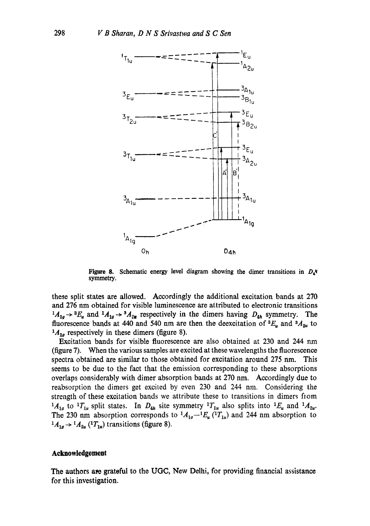

Figure 8. Schematic energy level diagram showing the dimer transitions in  $D<sub>4</sub>$ <sup>u</sup> symmetry.

these split states are allowed. Accordingly the additional excitation bands at 270 and 276 nm obtained for visible luminescence are attributed to electronic transitions  $1_{A_{1g}} \rightarrow 3E_u$  and  $1_{A_{1g}} \rightarrow 3A_{2u}$  respectively in the dimers having  $D_{4h}$  symmetry. The fluorescence bands at 440 and 540 nm are then the deexcitation of  ${}^3E_u$  and  ${}^3A_{2u}$  to  $^{1}A_{1g}$  respectively in these dimers (figure 8).

Excitation bands for visible fluorescence are also obtained at 230 and 244 nm (figure 7). When the various samples are excited at these wavelengths the fluorescence spectra obtained are similar to those obtained for excitation around 275 nm. This seems to be due to the fact that the emission corresponding to these absorptions overlaps considerably with dimer absorption bands at 270 nm. Accordingly due to reabsorption the dimers get excited by even 230 and 244 nm. Considering the strength of these excitation bands we attribute these to transitions in dimers from  $1A_{1g}$  to  $1T_{1u}$  split states. In  $D_{4h}$  site symmetry  $1T_{1u}$  also splits into  $1E_u$  and  $1A_{2u}$ . The 230 nm absorption corresponds to  ${}^{1}A_{1g} - {}^{1}E_{u}$  ( ${}^{1}T_{1u}$ ) and 244 nm absorption to  $A_{1g} \rightarrow A_{2u} ({}^{1}T_{1u})$  transitions (figure 8).

#### **Acknowledgement**

The authors are grateful to the UGC, New Delhi, for providing financial assistance for this investigation.